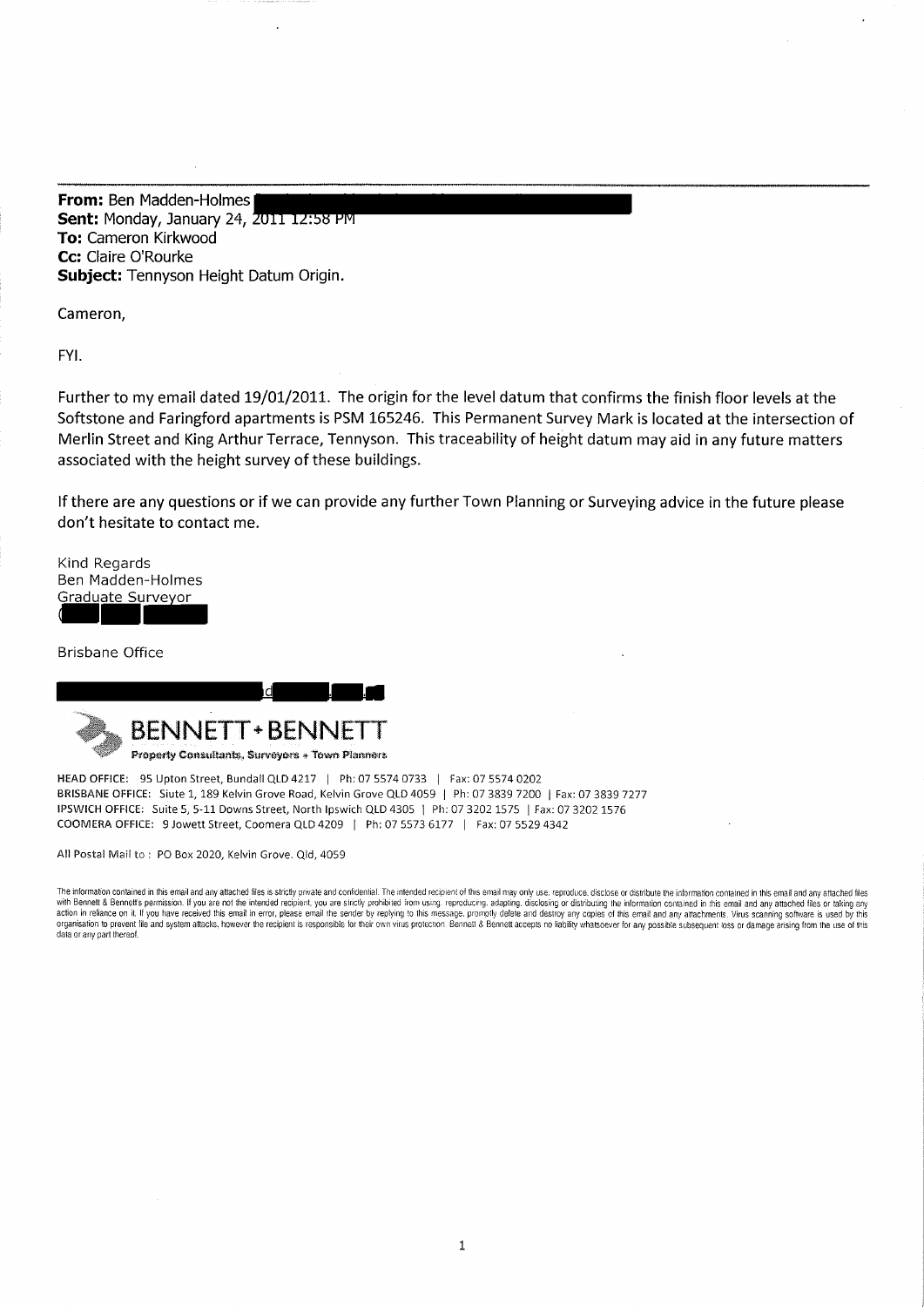From: Ben Madden-Holmes Sent: Monday, January 24, 2011 12:58 PM To: Cameron Kirkwood Cc: Claire O'Rourke Subject: Tennyson Height Datum Origin.

Cameron,

FYI.

Further to my email dated 19/01/2011. The origin for the level datum that confirms the finish floor levels at the Softstone and Faringford apartments is PSM 165246. This Permanent Survey Mark is located at the intersection of Merlin Street and King Arthur Terrace, Tennyson. This traceability of height datum may aid in any future matters associated with the height survey of these buildings.

If there are any questions or if we can provide any further Town Planning or Surveying advice in the future please don't hesitate to contact me.

Kind Regards Ben Madden-Holmes Graduate Surveyor

Brisbane Office



HEAD OFFICE: 95 Upton Street, Bundall QLD 4217 | Ph: 07 5574 0733 | Fax: 07 5574 0202 BRISBANE OFFICE: Siute 1, 189 Kelvin Grove Road, Kelvin Grove QLD 4059 | Ph: 07 3839 7200 | Fax: 07 3839 7277 IPSWICH OFFICE: Suite 5, 5-11 Downs Street, North Ipswich QLD 4305 | Ph: 07 3202 1575 | Fax: 07 3202 1576 COOMERA OFFICE: 9 Jowett Street, Coomera QLD 4209 | Ph: 07 5573 6177 | Fax: 07 5529 4342

All Postal Mail to: PO Box 2020, Kelvin Grove. Qld, 4059

The information contained in this email and any attached flies is strictly private and confidential. The intended recipient of this email may only use, reproduce, disclose or distribute the information contained in this em action in reliance on it. If you have received this email in error, please email the sender by replying to this message. promptly delete and destroy any copies of this email and any attachments. Virus scanning software is data or any part thereof.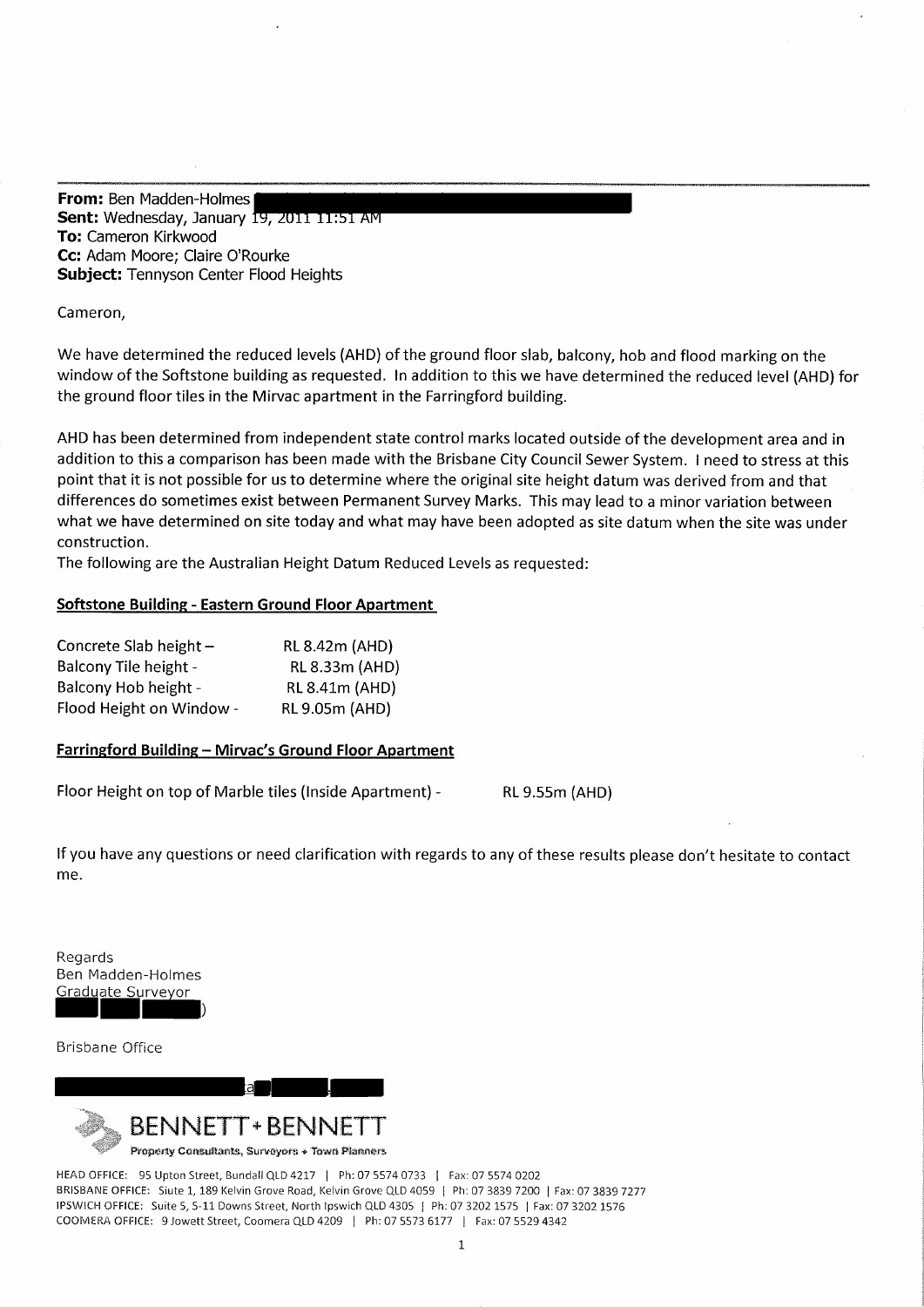From: Ben Madden-Holmes Sent: Wednesday, January 19, 2011 11:51 AM To: Cameron Kirkwood Cc: Adam Moore; Claire O'Rourke **Subject: Tennyson Center Flood Heights** 

## Cameron,

We have determined the reduced levels (AHD) of the ground floor slab, balcony, hob and flood marking on the window of the Softstone building as requested. ln addition to this we have determined the reduced level (AHD) for the ground floor tiles ín the Mirvac apartment ín the Farringford building.

AHD has been determined from independent state control marks located outside of the development area and in addition to this a comparison has been made with the Brisbane City Council Sewer System. I need to stress at this point that it is not possible for us to determine where the original site height datum was derived from and that differences do sometimes exist between Permanent Survey Marks. This may lead to a minor variation between what we have determined on site today and what may have been adopted as site datum when the site was under construction.

The following are the Australian Height Datum Reduced Levels as requested:

## Softstone Building - Eastern Ground Floor Apartment

| Concrete Slab height -       | RL 8.42m (AHD)        |
|------------------------------|-----------------------|
| <b>Balcony Tile height -</b> | RL 8.33m (AHD)        |
| Balcony Hob height -         | <b>RL 8.41m (AHD)</b> |
| Flood Height on Window -     | <b>RL 9.05m (AHD)</b> |

## Farringford Building - Mirvac's Ground Floor Apartment

Floor Height on top of Marble tiles (lnside Apartment) - RL 9.55m (AHD)

lf you have any questions or need clarification with regards to any of these results please don't hesitate to contact me.

Regards Ben Madden-Holmes Graduate Surveyor

Brisbane Office



HEAD OFFICE: 95 Upton Street, Bundall QLD 4217 | Ph: 07 5574 0733 | Fax: 07 5574 0202 BRISBANE OFFICE: Siute 1, 189 Kelvin Grove Road, Kelvin Grove QLD 4059 | Ph: 07 3839 7200 | Fax: 07 3839 7277 IPSWICH OFFICE: Suite 5, 5-11 Downs Street, North Ipswich QLD 4305 | Ph: 07 3202 1575 | Fax: 07 3202 1576 COOMERA OFFICE: 9 Jowett Street, Coomera QLD 4209 | Ph: 07 5573 6177 | Fax: 07 5529 4342